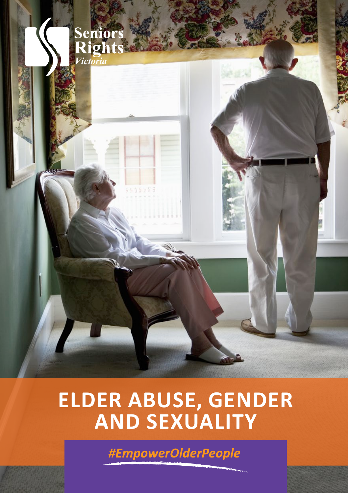

# **ELDER ABUSE, GENDER AND SEXUALITY**

#EmpowerOlderPeople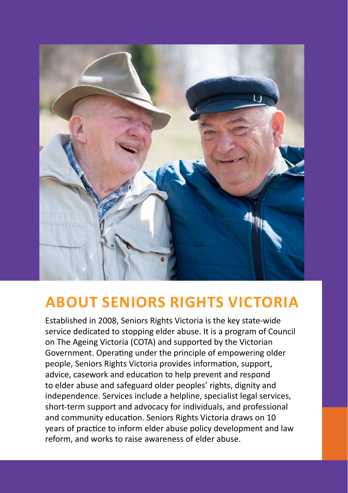

#### **ABOUT SENIORS RIGHTS VICTORIA**

Established in 2008, Seniors Rights Victoria is the key state-wide service dedicated to stopping elder abuse. It is a program of Council on The Ageing Victoria (COTA) and supported by the Victorian Government. Operating under the principle of empowering older people, Seniors Rights Victoria provides information, support, advice, casework and education to help prevent and respond to elder abuse and safeguard older peoples' rights, dignity and independence. Services include a helpline, specialist legal services, short-term support and advocacy for individuals, and professional and community education. Seniors Rights Victoria draws on 10 years of practice to inform elder abuse policy development and law reform, and works to raise awareness of elder abuse.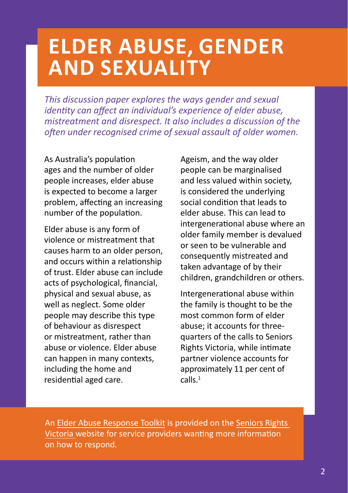# **ELDER ABUSE, GENDER AND SEXUALITY**

*This discussion paper explores the ways gender and sexual identity can affect an individual's experience of elder abuse, mistreatment and disrespect. It also includes a discussion of the often under recognised crime of sexual assault of older women.* 

As Australia's population ages and the number of older people increases, elder abuse is expected to become a larger problem, affecting an increasing number of the population.

Elder abuse is any form of violence or mistreatment that causes harm to an older person, and occurs within a relationship of trust. Elder abuse can include acts of psychological, financial, physical and sexual abuse, as well as neglect. Some older people may describe this type of behaviour as disrespect or mistreatment, rather than abuse or violence. Elder abuse can happen in many contexts, including the home and residential aged care.

Ageism, and the way older people can be marginalised and less valued within society, is considered the underlying social condition that leads to elder abuse. This can lead to intergenerational abuse where an older family member is devalued or seen to be vulnerable and consequently mistreated and taken advantage of by their children, grandchildren or others.

Intergenerational abuse within the family is thought to be the most common form of elder abuse; it accounts for threequarters of the calls to Seniors Rights Victoria, while intimate partner violence accounts for approximately 11 per cent of calls.<sup>1</sup>

An [Elder Abuse Response Toolkit](https://toolkit.seniorsrights.org.au/) is provided on the [Seniors Rights](http://www.seniorsrights.org.au)  [Victoria](http://www.seniorsrights.org.au) website for service providers wanting more information on how to respond.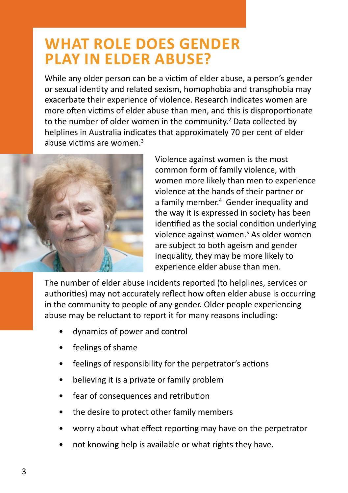#### **WHAT ROLE DOES GENDER PLAY IN ELDER ABUSE?**

While any older person can be a victim of elder abuse, a person's gender or sexual identity and related sexism, homophobia and transphobia may exacerbate their experience of violence. Research indicates women are more often victims of elder abuse than men, and this is disproportionate to the number of older women in the community.<sup>2</sup> Data collected by helplines in Australia indicates that approximately 70 per cent of elder abuse victims are women.<sup>3</sup>



Violence against women is the most common form of family violence, with women more likely than men to experience violence at the hands of their partner or a family member.<sup>4</sup> Gender inequality and the way it is expressed in society has been identified as the social condition underlying violence against women.<sup>5</sup> As older women are subject to both ageism and gender inequality, they may be more likely to experience elder abuse than men.

The number of elder abuse incidents reported (to helplines, services or authorities) may not accurately reflect how often elder abuse is occurring in the community to people of any gender. Older people experiencing abuse may be reluctant to report it for many reasons including:

- dynamics of power and control
- feelings of shame
- feelings of responsibility for the perpetrator's actions
- believing it is a private or family problem
- fear of consequences and retribution
- the desire to protect other family members
- worry about what effect reporting may have on the perpetrator
- not knowing help is available or what rights they have.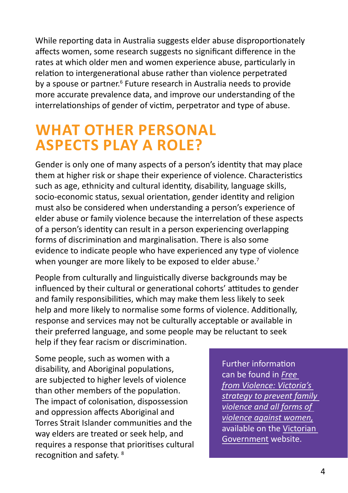While reporting data in Australia suggests elder abuse disproportionately affects women, some research suggests no significant difference in the rates at which older men and women experience abuse, particularly in relation to intergenerational abuse rather than violence perpetrated by a spouse or partner.<sup>6</sup> Future research in Australia needs to provide more accurate prevalence data, and improve our understanding of the interrelationships of gender of victim, perpetrator and type of abuse.

#### **WHAT OTHER PERSONAL ASPECTS PLAY A ROLE?**

Gender is only one of many aspects of a person's identity that may place them at higher risk or shape their experience of violence. Characteristics such as age, ethnicity and cultural identity, disability, language skills, socio-economic status, sexual orientation, gender identity and religion must also be considered when understanding a person's experience of elder abuse or family violence because the interrelation of these aspects of a person's identity can result in a person experiencing overlapping forms of discrimination and marginalisation. There is also some evidence to indicate people who have experienced any type of violence when younger are more likely to be exposed to elder abuse.<sup>7</sup>

People from culturally and linguistically diverse backgrounds may be influenced by their cultural or generational cohorts' attitudes to gender and family responsibilities, which may make them less likely to seek help and more likely to normalise some forms of violence. Additionally, response and services may not be culturally acceptable or available in their preferred language, and some people may be reluctant to seek help if they fear racism or discrimination.

Some people, such as women with a disability, and Aboriginal populations, are subjected to higher levels of violence than other members of the population. The impact of colonisation, dispossession and oppression affects Aboriginal and Torres Strait Islander communities and the way elders are treated or seek help, and requires a response that prioritises cultural recognition and safety. <sup>8</sup>

Further information can be found in *[Free](http://www.vic.gov.au/familyviolence/prevention-strategy.html)  [from Violence: Victoria's](http://www.vic.gov.au/familyviolence/prevention-strategy.html)  [strategy to prevent family](http://www.vic.gov.au/familyviolence/prevention-strategy.html)  [violence and all forms of](http://www.vic.gov.au/familyviolence/prevention-strategy.html)  [violence against women,](http://www.vic.gov.au/familyviolence/prevention-strategy.html)* available on the [Victorian](http://www.vic.gov.au)  [Government](http://www.vic.gov.au) website.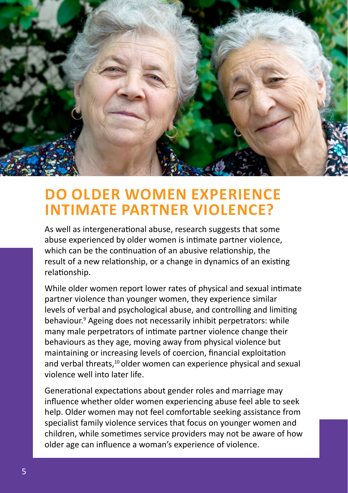

#### **DO OLDER WOMEN EXPERIENCE INTIMATE PARTNER VIOLENCE?**

As well as intergenerational abuse, research suggests that some abuse experienced by older women is intimate partner violence, which can be the continuation of an abusive relationship, the result of a new relationship, or a change in dynamics of an existing relationship.

While older women report lower rates of physical and sexual intimate partner violence than younger women, they experience similar levels of verbal and psychological abuse, and controlling and limiting behaviour.<sup>9</sup> Ageing does not necessarily inhibit perpetrators: while many male perpetrators of intimate partner violence change their behaviours as they age, moving away from physical violence but maintaining or increasing levels of coercion, financial exploitation and verbal threats.<sup>10</sup> older women can experience physical and sexual violence well into later life.

Generational expectations about gender roles and marriage may influence whether older women experiencing abuse feel able to seek help. Older women may not feel comfortable seeking assistance from specialist family violence services that focus on younger women and children, while sometimes service providers may not be aware of how older age can influence a woman's experience of violence.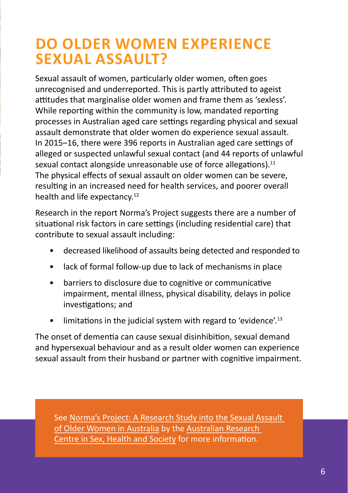### **DO OLDER WOMEN EXPERIENCE SEXUAL ASSAULT?**

Sexual assault of women, particularly older women, often goes unrecognised and underreported. This is partly attributed to ageist attitudes that marginalise older women and frame them as 'sexless'. While reporting within the community is low, mandated reporting processes in Australian aged care settings regarding physical and sexual assault demonstrate that older women do experience sexual assault. In 2015–16, there were 396 reports in Australian aged care settings of alleged or suspected unlawful sexual contact (and 44 reports of unlawful sexual contact alongside unreasonable use of force allegations).<sup>11</sup> The physical effects of sexual assault on older women can be severe, resulting in an increased need for health services, and poorer overall health and life expectancy.<sup>12</sup>

Research in the report Norma's Project suggests there are a number of situational risk factors in care settings (including residential care) that contribute to sexual assault including:

- decreased likelihood of assaults being detected and responded to
- lack of formal follow-up due to lack of mechanisms in place
- barriers to disclosure due to cognitive or communicative impairment, mental illness, physical disability, delays in police investigations; and
- $\bullet$  limitations in the judicial system with regard to 'evidence'.<sup>13</sup>

The onset of dementia can cause sexual disinhibition, sexual demand and hypersexual behaviour and as a result older women can experience sexual assault from their husband or partner with cognitive impairment.

See [Norma's Project: A Research Study into the Sexual Assault](https://www.latrobe.edu.au/__data/assets/%20pdf_file/0011/585290/ARCSHS-Normas-Project-Report.pdf)  [of Older Women in Australia](https://www.latrobe.edu.au/__data/assets/%20pdf_file/0011/585290/ARCSHS-Normas-Project-Report.pdf) by the [Australian Research](https://www.latrobe.edu.au/arcshs)  [Centre in Sex, Health and Society](https://www.latrobe.edu.au/arcshs) for more information.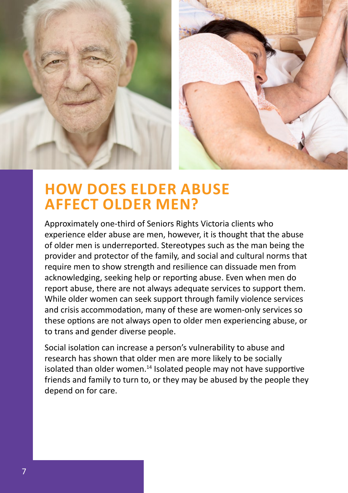

#### **HOW DOES ELDER ABUSE AFFECT OLDER MEN?**

Approximately one-third of Seniors Rights Victoria clients who experience elder abuse are men, however, it is thought that the abuse of older men is underreported. Stereotypes such as the man being the provider and protector of the family, and social and cultural norms that require men to show strength and resilience can dissuade men from acknowledging, seeking help or reporting abuse. Even when men do report abuse, there are not always adequate services to support them. While older women can seek support through family violence services and crisis accommodation, many of these are women-only services so these options are not always open to older men experiencing abuse, or to trans and gender diverse people.

Social isolation can increase a person's vulnerability to abuse and research has shown that older men are more likely to be socially isolated than older women.<sup>14</sup> Isolated people may not have supportive friends and family to turn to, or they may be abused by the people they depend on for care.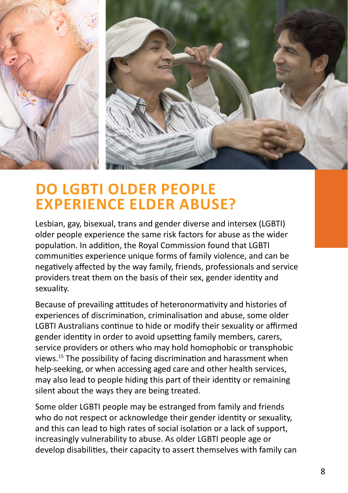

#### **DO LGBTI OLDER PEOPLE EXPERIENCE ELDER ABUSE?**

Lesbian, gay, bisexual, trans and gender diverse and intersex (LGBTI) older people experience the same risk factors for abuse as the wider population. In addition, the Royal Commission found that LGBTI communities experience unique forms of family violence, and can be negatively affected by the way family, friends, professionals and service providers treat them on the basis of their sex, gender identity and sexuality.

Because of prevailing attitudes of heteronormativity and histories of experiences of discrimination, criminalisation and abuse, some older LGBTI Australians continue to hide or modify their sexuality or affirmed gender identity in order to avoid upsetting family members, carers, service providers or others who may hold homophobic or transphobic views.15 The possibility of facing discrimination and harassment when help-seeking, or when accessing aged care and other health services, may also lead to people hiding this part of their identity or remaining silent about the ways they are being treated.

Some older LGBTI people may be estranged from family and friends who do not respect or acknowledge their gender identity or sexuality, and this can lead to high rates of social isolation or a lack of support, increasingly vulnerability to abuse. As older LGBTI people age or develop disabilities, their capacity to assert themselves with family can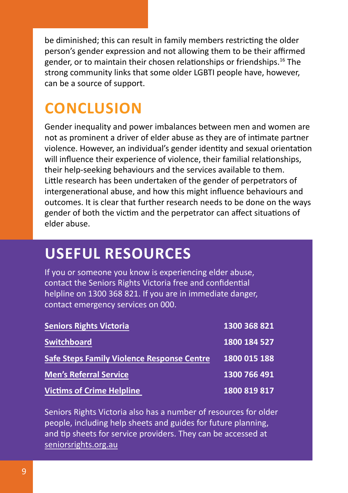be diminished; this can result in family members restricting the older person's gender expression and not allowing them to be their affirmed gender, or to maintain their chosen relationships or friendships.16 The strong community links that some older LGBTI people have, however, can be a source of support.

## **CONCLUSION**

Gender inequality and power imbalances between men and women are not as prominent a driver of elder abuse as they are of intimate partner violence. However, an individual's gender identity and sexual orientation will influence their experience of violence, their familial relationships, their help-seeking behaviours and the services available to them. Little research has been undertaken of the gender of perpetrators of intergenerational abuse, and how this might influence behaviours and outcomes. It is clear that further research needs to be done on the ways gender of both the victim and the perpetrator can affect situations of elder abuse.

# **USEFUL RESOURCES**

If you or someone you know is experiencing elder abuse, contact the Seniors Rights Victoria free and confidential helpline on 1300 368 821. If you are in immediate danger, contact emergency services on 000.

| <b>Seniors Rights Victoria</b>                    | 1300 368 821 |
|---------------------------------------------------|--------------|
| <b>Switchboard</b>                                | 1800 184 527 |
| <b>Safe Steps Family Violence Response Centre</b> | 1800 015 188 |
| <b>Men's Referral Service</b>                     | 1300 766 491 |
| <b>Victims of Crime Helpline</b>                  | 1800 819 817 |

Seniors Rights Victoria also has a number of resources for older people, including help sheets and guides for future planning, and tip sheets for service providers. They can be accessed at [seniorsrights.org.au](http://www.seniorsrights.org.au)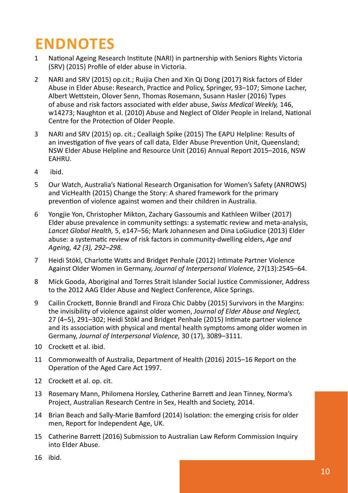## **ENDNOTES**

- 1 National Ageing Research Institute (NARI) in partnership with Seniors Rights Victoria (SRV) (2015) Profile of elder abuse in Victoria.
- 2 NARI and SRV (2015) op.cit.; Ruijia Chen and Xin Qi Dong (2017) Risk factors of Elder Abuse in Elder Abuse: Research, Practice and Policy, Springer, 93–107; Simone Lacher, Albert Wettstein, Olover Senn, Thomas Rosemann, Susann Hasler (2016) Types of abuse and risk factors associated with elder abuse, *Swiss Medical Weekly,* 146, w14273; Naughton et al. (2010) Abuse and Neglect of Older People in Ireland, National Centre for the Protection of Older People.
- 3 NARI and SRV (2015) op. cit.; Ceallaigh Spike (2015) The EAPU Helpline: Results of an investigation of five years of call data, Elder Abuse Prevention Unit, Queensland; NSW Elder Abuse Helpline and Resource Unit (2016) Annual Report 2015–2016, NSW EAHRU.
- 4 ibid.
- 5 Our Watch, Australia's National Research Organisation for Women's Safety (ANROWS) and VicHealth (2015) Change the Story: A shared framework for the primary prevention of violence against women and their children in Australia.
- 6 Yongjie Yon, Christopher Mikton, Zachary Gassoumis and Kathleen Wilber (2017) Elder abuse prevalence in community settings: a systematic review and meta-analysis, *Lancet Global Health,* 5, e147–56; Mark Johannesen and Dina LoGiudice (2013) Elder abuse: a systematic review of risk factors in community-dwelling elders, *Age and Ageing, 42 (3), 292–298.*
- 7 Heidi Stökl, Charlotte Watts and Bridget Penhale (2012) Intimate Partner Violence Against Older Women in Germany, *Journal of Interpersonal Violence,* 27(13):2545–64.
- 8 Mick Gooda, Aboriginal and Torres Strait Islander Social Justice Commissioner, Address to the 2012 AAG Elder Abuse and Neglect Conference, Alice Springs.
- 9 Cailin Crockett, Bonnie Brandl and Firoza Chic Dabby (2015) Survivors in the Margins: the invisibility of violence against older women, *Journal of Elder Abuse and Neglect,* 27 (4–5), 291–302; Heidi Stökl and Bridget Penhale (2015) Intimate partner violence and its association with physical and mental health symptoms among older women in Germany, *Journal of Interpersonal Violence,* 30 (17), 3089–3111.
- 10 Crockett et al. ibid.
- 11 Commonwealth of Australia, Department of Health (2016) 2015–16 Report on the Operation of the Aged Care Act 1997.
- 12 Crockett et al. op. cit.
- 13 Rosemary Mann, Philomena Horsley, Catherine Barrett and Jean Tinney, Norma's Project, Australian Research Centre in Sex, Health and Society, 2014.
- 14 Brian Beach and Sally-Marie Bamford (2014) Isolation: the emerging crisis for older men, Report for Independent Age, UK.
- 15 Catherine Barrett (2016) Submission to Australian Law Reform Commission Inquiry into Elder Abuse.
- 16 ibid.